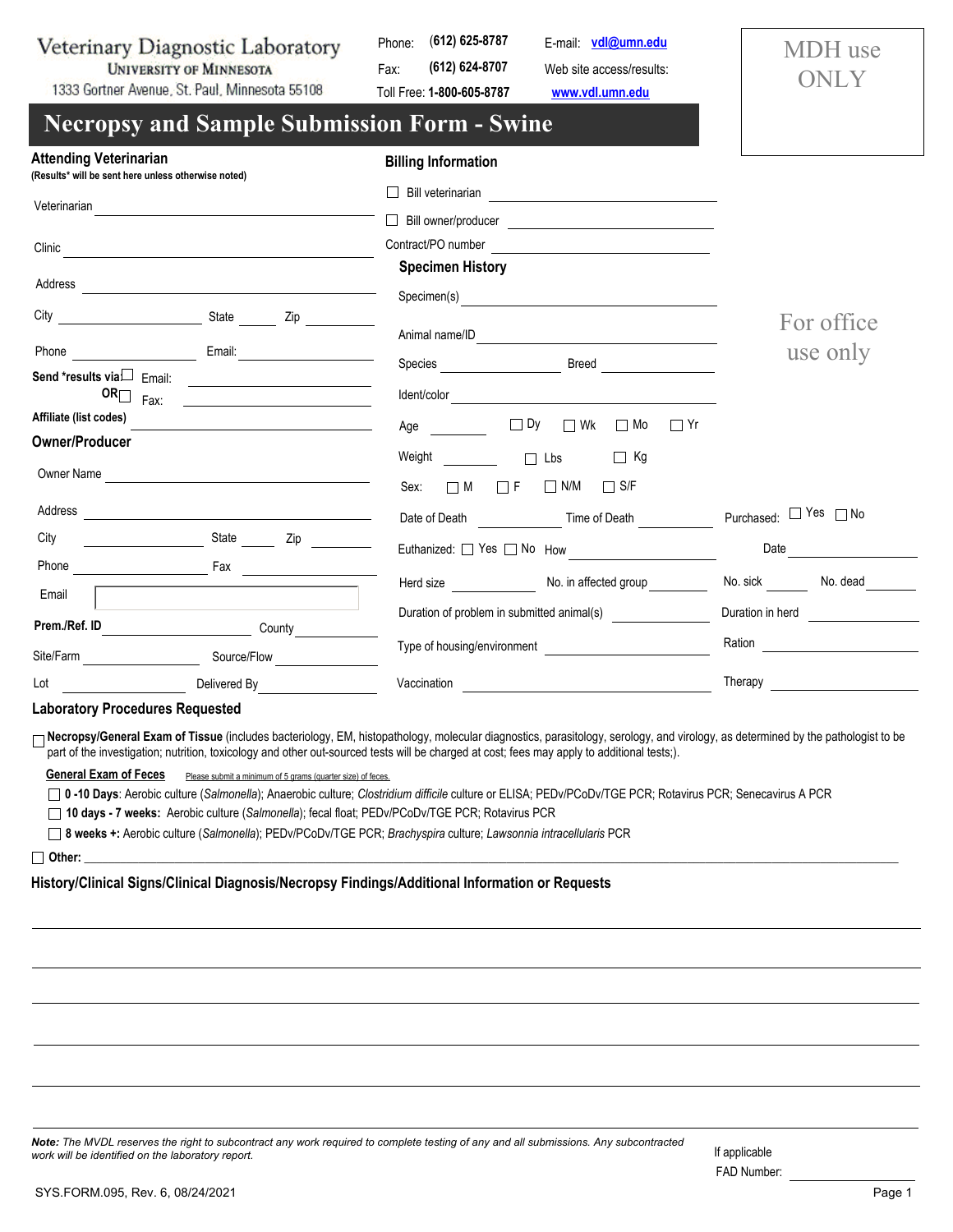Veterinary Diagnostic Laboratory **UNIVERSITY OF MINNESOTA** 

Phone: (**612) 625-8787** Fax: **(612) 624-8707**

Toll Free: **1-800-605-8787**

Web site access/results: **<www.vdl.umn.edu>** E-mail: **[vdl@umn.edu](mailto:vdl@umn.edu)**

MDH use ONLY

1333 Gortner Avenue, St. Paul, Minnesota 55108

## **Necropsy and Sample Submission Form - Swine**

| <b>Attending Veterinarian</b><br>(Results* will be sent here unless otherwise noted) |                                                                                                                      | <b>Billing Information</b>                                                                                                        |                       |
|--------------------------------------------------------------------------------------|----------------------------------------------------------------------------------------------------------------------|-----------------------------------------------------------------------------------------------------------------------------------|-----------------------|
|                                                                                      | Veterinarian entre alle anno 1992 anno 1992. Il control de la contrattu de la contrattu de la contrattu de la        | Bill veterinarian<br>Bill veterinarian                                                                                            |                       |
|                                                                                      |                                                                                                                      |                                                                                                                                   |                       |
|                                                                                      |                                                                                                                      | <b>Specimen History</b>                                                                                                           |                       |
|                                                                                      | Zip                                                                                                                  | Specimen(s)                                                                                                                       | For office            |
| Phone <b>Property</b>                                                                | Email:                                                                                                               |                                                                                                                                   |                       |
| Send *results viaLJ Email:                                                           |                                                                                                                      |                                                                                                                                   | use only              |
| OR $\Box$<br>Fax:                                                                    | <u> 1989 - Andrea Station Barbara, amerikan per</u><br><u> 1989 - Johann Barbara, martxa alemaniar a</u>             |                                                                                                                                   |                       |
| Affiliate (list codes)                                                               | <u> 1980 - Johann Barn, mars ann an t-Amhain Aonaich an t-Aonaich an t-Aonaich ann an t-Aonaich ann an t-Aonaich</u> | Age □ Dy □ Wk<br>$\Box$ Yr<br>$\Box$ Mo                                                                                           |                       |
| Owner/Producer                                                                       | Owner Name                                                                                                           | Weight<br>─────────────── <sup>──</sup> ─── <sup>─</sup> □ Lbs      □ Kg<br>Sex:<br>$\Box F$<br>$\Box$ N/M $\Box$ S/F<br>$\Box$ M |                       |
|                                                                                      |                                                                                                                      |                                                                                                                                   | Purchased: □ Yes □ No |
|                                                                                      |                                                                                                                      |                                                                                                                                   | Date                  |
| Email                                                                                |                                                                                                                      |                                                                                                                                   | No. sick No. dead     |
|                                                                                      |                                                                                                                      | Duration of problem in submitted animal(s) ________________                                                                       | Duration in herd      |
|                                                                                      |                                                                                                                      | Type of housing/environment                                                                                                       |                       |
|                                                                                      | Lot Lot Lot Delivered By                                                                                             | Vaccination <u>__________________________</u>                                                                                     |                       |

## **Laboratory Procedures Requested**

□ Necropsy/General Exam of Tissue (includes bacteriology, EM, histopathology, molecular diagnostics, parasitology, serology, and virology, as determined by the pathologist to be part of the investigation; nutrition, toxicology and other out-sourced tests will be charged at cost; fees may apply to additional tests;).

**General Exam of Feces** Please submit a minimum of 5 grams (quarter size) of feces.

 **0 -10 Days**: Aerobic culture (*Salmonella*); Anaerobic culture; *Clostridium difficile* culture or ELISA; PEDv/PCoDv/TGE PCR; Rotavirus PCR; Senecavirus A PCR

 **10 days - 7 weeks:** Aerobic culture (*Salmonella*); fecal float; PEDv/PCoDv/TGE PCR; Rotavirus PCR

 **8 weeks +:** Aerobic culture (*Salmonella*); PEDv/PCoDv/TGE PCR; *Brachyspira* culture; *Lawsonnia intracellularis* PCR

 **Other:** \_\_\_\_\_\_\_\_\_\_\_\_\_\_\_\_\_\_\_\_\_\_\_\_\_\_\_\_\_\_\_\_\_\_\_\_\_\_\_\_\_\_\_\_\_\_\_\_\_\_\_\_\_\_\_\_\_\_\_\_\_\_\_\_\_\_\_\_\_\_\_\_\_\_\_\_\_\_\_\_\_\_\_\_\_\_\_\_\_\_\_\_\_\_\_\_\_\_\_\_\_\_\_\_\_\_\_\_\_\_\_\_\_\_\_\_\_\_\_\_\_\_\_\_\_\_\_\_\_\_\_\_\_\_\_

## **History/Clinical Signs/Clinical Diagnosis/Necropsy Findings/Additional Information or Requests**

*Note: The MVDL reserves the right to subcontract any work required to complete testing of any and all submissions. Any subcontracted work will be identified on the laboratory report.*

FAD Number: If applicable

## SYS.FORM.095, Rev. 6, 08/24/2021